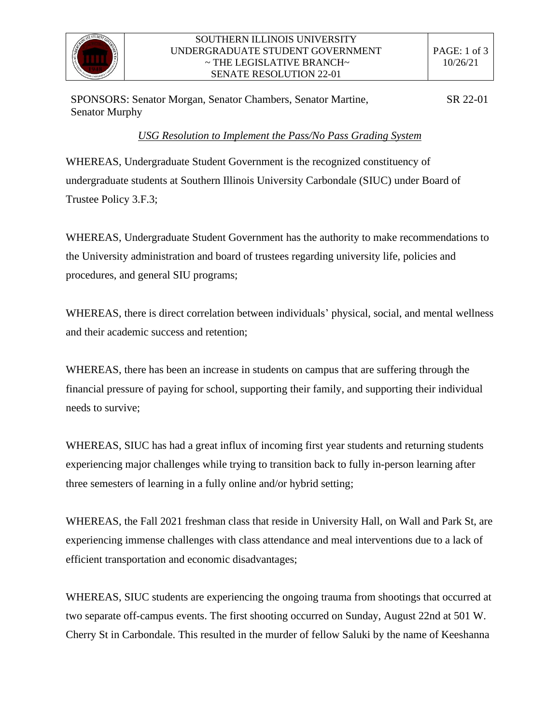

SPONSORS: Senator Morgan, Senator Chambers, Senator Martine, Senator Murphy SR 22-01

## *USG Resolution to Implement the Pass/No Pass Grading System*

WHEREAS, Undergraduate Student Government is the recognized constituency of undergraduate students at Southern Illinois University Carbondale (SIUC) under Board of Trustee Policy 3.F.3;

WHEREAS, Undergraduate Student Government has the authority to make recommendations to the University administration and board of trustees regarding university life, policies and procedures, and general SIU programs;

WHEREAS, there is direct correlation between individuals' physical, social, and mental wellness and their academic success and retention;

WHEREAS, there has been an increase in students on campus that are suffering through the financial pressure of paying for school, supporting their family, and supporting their individual needs to survive;

WHEREAS, SIUC has had a great influx of incoming first year students and returning students experiencing major challenges while trying to transition back to fully in-person learning after three semesters of learning in a fully online and/or hybrid setting;

WHEREAS, the Fall 2021 freshman class that reside in University Hall, on Wall and Park St, are experiencing immense challenges with class attendance and meal interventions due to a lack of efficient transportation and economic disadvantages;

WHEREAS, SIUC students are experiencing the ongoing trauma from shootings that occurred at two separate off-campus events. The first shooting occurred on Sunday, August 22nd at 501 W. Cherry St in Carbondale. This resulted in the murder of fellow Saluki by the name of Keeshanna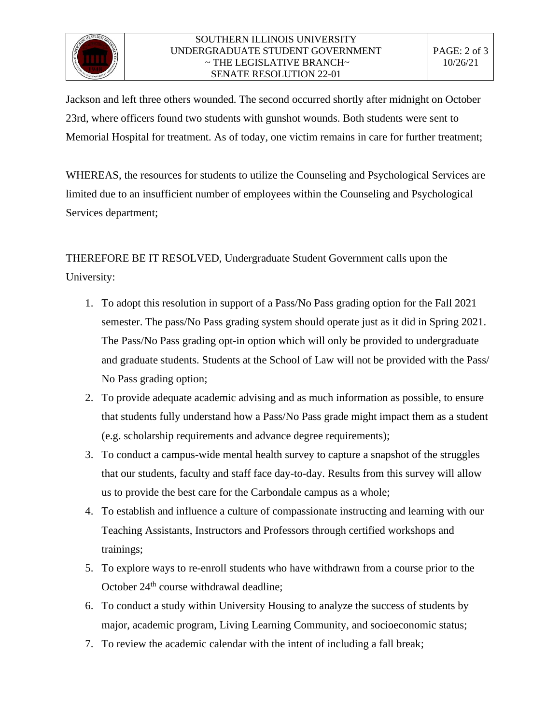

## SOUTHERN ILLINOIS UNIVERSITY UNDERGRADUATE STUDENT GOVERNMENT  $\sim$  THE LEGISLATIVE BRANCH $\sim$ SENATE RESOLUTION 22-01

Jackson and left three others wounded. The second occurred shortly after midnight on October 23rd, where officers found two students with gunshot wounds. Both students were sent to Memorial Hospital for treatment. As of today, one victim remains in care for further treatment;

WHEREAS, the resources for students to utilize the Counseling and Psychological Services are limited due to an insufficient number of employees within the Counseling and Psychological Services department;

THEREFORE BE IT RESOLVED, Undergraduate Student Government calls upon the University:

- 1. To adopt this resolution in support of a Pass/No Pass grading option for the Fall 2021 semester. The pass/No Pass grading system should operate just as it did in Spring 2021. The Pass/No Pass grading opt-in option which will only be provided to undergraduate and graduate students. Students at the School of Law will not be provided with the Pass/ No Pass grading option;
- 2. To provide adequate academic advising and as much information as possible, to ensure that students fully understand how a Pass/No Pass grade might impact them as a student (e.g. scholarship requirements and advance degree requirements);
- 3. To conduct a campus-wide mental health survey to capture a snapshot of the struggles that our students, faculty and staff face day-to-day. Results from this survey will allow us to provide the best care for the Carbondale campus as a whole;
- 4. To establish and influence a culture of compassionate instructing and learning with our Teaching Assistants, Instructors and Professors through certified workshops and trainings;
- 5. To explore ways to re-enroll students who have withdrawn from a course prior to the October 24<sup>th</sup> course withdrawal deadline;
- 6. To conduct a study within University Housing to analyze the success of students by major, academic program, Living Learning Community, and socioeconomic status;
- 7. To review the academic calendar with the intent of including a fall break;